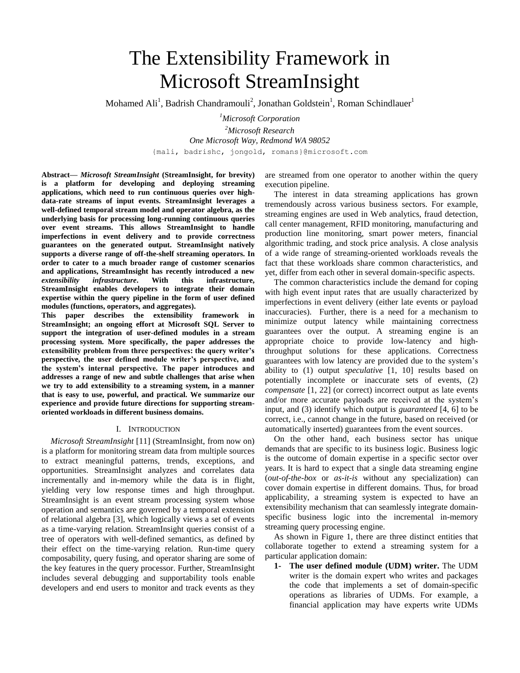# The Extensibility Framework in Microsoft StreamInsight

Mohamed Ali<sup>1</sup>, Badrish Chandramouli<sup>2</sup>, Jonathan Goldstein<sup>1</sup>, Roman Schindlauer<sup>1</sup>

*<sup>1</sup>Microsoft Corporation <sup>2</sup>Microsoft Research One Microsoft Way, Redmond WA 98052* {mali, badrishc, jongold, romans}@microsoft.com

**Abstract—** *Microsoft StreamInsight* **(StreamInsight, for brevity) is a platform for developing and deploying streaming applications, which need to run continuous queries over highdata-rate streams of input events. StreamInsight leverages a well-defined temporal stream model and operator algebra, as the underlying basis for processing long-running continuous queries over event streams. This allows StreamInsight to handle imperfections in event delivery and to provide correctness guarantees on the generated output. StreamInsight natively supports a diverse range of off-the-shelf streaming operators. In order to cater to a much broader range of customer scenarios and applications, StreamInsight has recently introduced a new**  *extensibility infrastructure***. With this infrastructure, StreamInsight enables developers to integrate their domain expertise within the query pipeline in the form of user defined modules (functions, operators, and aggregates).**

**This paper describes the extensibility framework in StreamInsight; an ongoing effort at Microsoft SQL Server to support the integration of user-defined modules in a stream processing system. More specifically, the paper addresses the extensibility problem from three perspectives: the query writer's perspective, the user defined module writer's perspective, and the system's internal perspective. The paper introduces and addresses a range of new and subtle challenges that arise when we try to add extensibility to a streaming system, in a manner that is easy to use, powerful, and practical. We summarize our experience and provide future directions for supporting streamoriented workloads in different business domains.**

## I. INTRODUCTION

*Microsoft StreamInsight* [11] (StreamInsight, from now on) is a platform for monitoring stream data from multiple sources to extract meaningful patterns, trends, exceptions, and opportunities. StreamInsight analyzes and correlates data incrementally and in-memory while the data is in flight, yielding very low response times and high throughput. StreamInsight is an event stream processing system whose operation and semantics are governed by a temporal extension of relational algebra [3], which logically views a set of events as a time-varying relation. StreamInsight queries consist of a tree of operators with well-defined semantics, as defined by their effect on the time-varying relation. Run-time query composability, query fusing, and operator sharing are some of the key features in the query processor. Further, StreamInsight includes several debugging and supportability tools enable developers and end users to monitor and track events as they

are streamed from one operator to another within the query execution pipeline.

The interest in data streaming applications has grown tremendously across various business sectors. For example, streaming engines are used in Web analytics, fraud detection, call center management, RFID monitoring, manufacturing and production line monitoring, smart power meters, financial algorithmic trading, and stock price analysis. A close analysis of a wide range of streaming-oriented workloads reveals the fact that these workloads share common characteristics, and yet, differ from each other in several domain-specific aspects.

The common characteristics include the demand for coping with high event input rates that are usually characterized by imperfections in event delivery (either late events or payload inaccuracies). Further, there is a need for a mechanism to minimize output latency while maintaining correctness guarantees over the output. A streaming engine is an appropriate choice to provide low-latency and highthroughput solutions for these applications. Correctness guarantees with low latency are provided due to the system's ability to (1) output *speculative* [1, 10] results based on potentially incomplete or inaccurate sets of events, (2) *compensate* [1, 22] (or correct) incorrect output as late events and/or more accurate payloads are received at the system's input, and (3) identify which output is *guaranteed* [4, 6] to be correct, i.e., cannot change in the future, based on received (or automatically inserted) guarantees from the event sources.

On the other hand, each business sector has unique demands that are specific to its business logic. Business logic is the outcome of domain expertise in a specific sector over years. It is hard to expect that a single data streaming engine (*out-of-the-box* or *as-it-is* without any specialization) can cover domain expertise in different domains. Thus, for broad applicability, a streaming system is expected to have an extensibility mechanism that can seamlessly integrate domainspecific business logic into the incremental in-memory streaming query processing engine.

As shown in Figure 1, there are three distinct entities that collaborate together to extend a streaming system for a particular application domain:

**1- The user defined module (UDM) writer.** The UDM writer is the domain expert who writes and packages the code that implements a set of domain-specific operations as libraries of UDMs. For example, a financial application may have experts write UDMs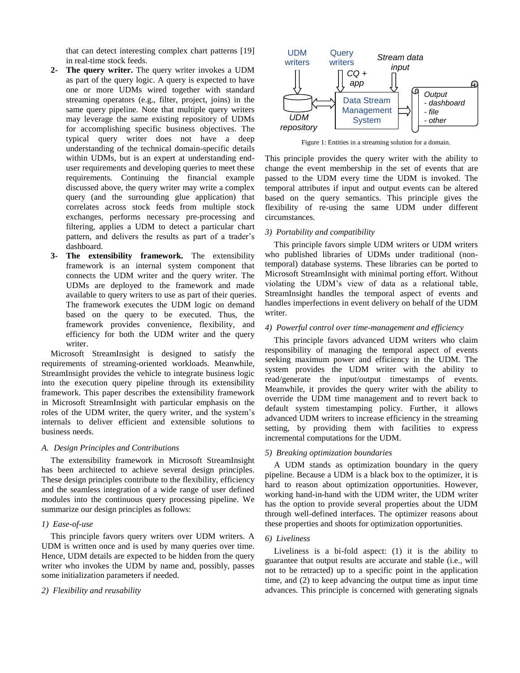that can detect interesting complex chart patterns [19] in real-time stock feeds.

- **2- The query writer.** The query writer invokes a UDM as part of the query logic. A query is expected to have one or more UDMs wired together with standard streaming operators (e.g., filter, project, joins) in the same query pipeline. Note that multiple query writers may leverage the same existing repository of UDMs for accomplishing specific business objectives. The typical query writer does not have a deep understanding of the technical domain-specific details within UDMs, but is an expert at understanding enduser requirements and developing queries to meet these requirements. Continuing the financial example discussed above, the query writer may write a complex query (and the surrounding glue application) that correlates across stock feeds from multiple stock exchanges, performs necessary pre-processing and filtering, applies a UDM to detect a particular chart pattern, and delivers the results as part of a trader's dashboard.
- **3- The extensibility framework.** The extensibility framework is an internal system component that connects the UDM writer and the query writer. The UDMs are deployed to the framework and made available to query writers to use as part of their queries. The framework executes the UDM logic on demand based on the query to be executed. Thus, the framework provides convenience, flexibility, and efficiency for both the UDM writer and the query writer.

Microsoft StreamInsight is designed to satisfy the requirements of streaming-oriented workloads. Meanwhile, StreamInsight provides the vehicle to integrate business logic into the execution query pipeline through its extensibility framework. This paper describes the extensibility framework in Microsoft StreamInsight with particular emphasis on the roles of the UDM writer, the query writer, and the system's internals to deliver efficient and extensible solutions to business needs.

# *A. Design Principles and Contributions*

The extensibility framework in Microsoft StreamInsight has been architected to achieve several design principles. These design principles contribute to the flexibility, efficiency and the seamless integration of a wide range of user defined modules into the continuous query processing pipeline. We summarize our design principles as follows:

# *1) Ease-of-use*

This principle favors query writers over UDM writers. A UDM is written once and is used by many queries over time. Hence, UDM details are expected to be hidden from the query writer who invokes the UDM by name and, possibly, passes some initialization parameters if needed.

### *2) Flexibility and reusability*



Figure 1: Entities in a streaming solution for a domain.

This principle provides the query writer with the ability to change the event membership in the set of events that are passed to the UDM every time the UDM is invoked. The temporal attributes if input and output events can be altered based on the query semantics. This principle gives the flexibility of re-using the same UDM under different circumstances.

#### *3) Portability and compatibility*

This principle favors simple UDM writers or UDM writers who published libraries of UDMs under traditional (nontemporal) database systems. These libraries can be ported to Microsoft StreamInsight with minimal porting effort. Without violating the UDM's view of data as a relational table, StreamInsight handles the temporal aspect of events and handles imperfections in event delivery on behalf of the UDM writer.

## *4) Powerful control over time-management and efficiency*

This principle favors advanced UDM writers who claim responsibility of managing the temporal aspect of events seeking maximum power and efficiency in the UDM. The system provides the UDM writer with the ability to read/generate the input/output timestamps of events. Meanwhile, it provides the query writer with the ability to override the UDM time management and to revert back to default system timestamping policy. Further, it allows advanced UDM writers to increase efficiency in the streaming setting, by providing them with facilities to express incremental computations for the UDM.

#### *5) Breaking optimization boundaries*

A UDM stands as optimization boundary in the query pipeline. Because a UDM is a black box to the optimizer, it is hard to reason about optimization opportunities. However, working hand-in-hand with the UDM writer, the UDM writer has the option to provide several properties about the UDM through well-defined interfaces. The optimizer reasons about these properties and shoots for optimization opportunities.

# *6) Liveliness*

Liveliness is a bi-fold aspect: (1) it is the ability to guarantee that output results are accurate and stable (i.e., will not to be retracted) up to a specific point in the application time, and (2) to keep advancing the output time as input time advances. This principle is concerned with generating signals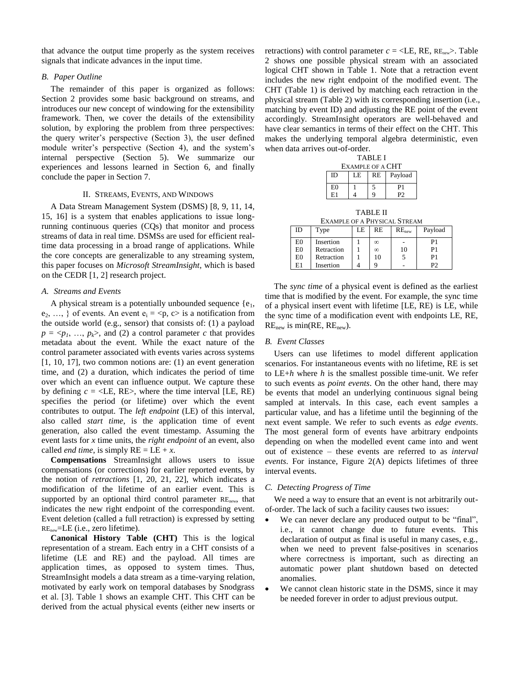that advance the output time properly as the system receives signals that indicate advances in the input time.

# *B. Paper Outline*

The remainder of this paper is organized as follows: Section 2 provides some basic background on streams, and introduces our new concept of windowing for the extensibility framework. Then, we cover the details of the extensibility solution, by exploring the problem from three perspectives: the query writer's perspective (Section 3), the user defined module writer's perspective (Section 4), and the system's internal perspective (Section 5). We summarize our experiences and lessons learned in Section 6, and finally conclude the paper in Section 7.

# II. STREAMS, EVENTS, AND WINDOWS

A Data Stream Management System (DSMS) [8, 9, 11, 14, 15, 16] is a system that enables applications to issue longrunning continuous queries (CQs) that monitor and process streams of data in real time. DSMSs are used for efficient realtime data processing in a broad range of applications. While the core concepts are generalizable to any streaming system, this paper focuses on *Microsoft StreamInsight*, which is based on the CEDR [1, 2] research project.

## *A. Streams and Events*

A physical stream is a potentially unbounded sequence  $\{e_1, e_2, \ldots, e_n\}$  $e_2, \ldots$  } of events. An event  $e_i = \langle p, c \rangle$  is a notification from the outside world (e.g., sensor) that consists of: (1) a payload  $p = \langle p_1, \ldots, p_k \rangle$ , and (2) a control parameter *c* that provides metadata about the event. While the exact nature of the control parameter associated with events varies across systems [1, 10, 17], two common notions are: (1) an event generation time, and (2) a duration, which indicates the period of time over which an event can influence output. We capture these by defining  $c = \langle LE, RE \rangle$ , where the time interval [LE, RE) specifies the period (or lifetime) over which the event contributes to output. The *left endpoint* (LE) of this interval, also called *start time*, is the application time of event generation, also called the event timestamp. Assuming the event lasts for *x* time units, the *right endpoint* of an event, also called *end time*, is simply  $RE = LE + x$ .

**Compensations** StreamInsight allows users to issue compensations (or corrections) for earlier reported events, by the notion of *retractions* [1, 20, 21, 22], which indicates a modification of the lifetime of an earlier event. This is supported by an optional third control parameter RE<sub>new</sub>, that indicates the new right endpoint of the corresponding event. Event deletion (called a full retraction) is expressed by setting REnew=LE (i.e., zero lifetime).

**Canonical History Table (CHT)** This is the logical representation of a stream. Each entry in a CHT consists of a lifetime (LE and RE) and the payload. All times are application times, as opposed to system times. Thus, StreamInsight models a data stream as a time-varying relation, motivated by early work on temporal databases by Snodgrass et al. [3]. Table 1 shows an example CHT. This CHT can be derived from the actual physical events (either new inserts or retractions) with control parameter  $c = \angle$ LE, RE, RE<sub>new</sub>>. Table 2 shows one possible physical stream with an associated logical CHT shown in Table 1. Note that a retraction event includes the new right endpoint of the modified event. The CHT (Table 1) is derived by matching each retraction in the physical stream (Table 2) with its corresponding insertion (i.e., matching by event ID) and adjusting the RE point of the event accordingly. StreamInsight operators are well-behaved and have clear semantics in terms of their effect on the CHT. This makes the underlying temporal algebra deterministic, even when data arrives out-of-order.

| TABLE I          |                |    |           |         |  |  |  |  |  |  |
|------------------|----------------|----|-----------|---------|--|--|--|--|--|--|
| EXAMPLE OF A CHT |                |    |           |         |  |  |  |  |  |  |
|                  | ID             | LE | <b>RE</b> | Payload |  |  |  |  |  |  |
|                  | E <sub>0</sub> |    | 5         | P1      |  |  |  |  |  |  |
|                  |                |    |           |         |  |  |  |  |  |  |

| <b>TABLE II</b>              |  |  |  |  |  |  |
|------------------------------|--|--|--|--|--|--|
| Example of a Physical Stream |  |  |  |  |  |  |

| ID             | Type       | LE | <b>RE</b> | RE <sub>new</sub> | Payload |
|----------------|------------|----|-----------|-------------------|---------|
| E <sub>0</sub> | Insertion  |    | $\infty$  |                   | P1      |
| E <sub>0</sub> | Retraction |    | $\infty$  | 10                | P1      |
| E <sub>0</sub> | Retraction |    | 10        |                   | P1      |
| E1             | Insertion  |    |           |                   | P2      |

The *sync time* of a physical event is defined as the earliest time that is modified by the event. For example, the sync time of a physical insert event with lifetime [LE, RE) is LE, while the sync time of a modification event with endpoints LE, RE,  $RE<sub>new</sub>$  is min(RE, RE<sub>new</sub>).

# *B. Event Classes*

Users can use lifetimes to model different application scenarios. For instantaneous events with no lifetime, RE is set to LE+*h* where *h* is the smallest possible time-unit. We refer to such events as *point events*. On the other hand, there may be events that model an underlying continuous signal being sampled at intervals. In this case, each event samples a particular value, and has a lifetime until the beginning of the next event sample. We refer to such events as *edge events*. The most general form of events have arbitrary endpoints depending on when the modelled event came into and went out of existence – these events are referred to as *interval events*. For instance, Figure 2(A) depicts lifetimes of three interval events.

## *C. Detecting Progress of Time*

We need a way to ensure that an event is not arbitrarily outof-order. The lack of such a facility causes two issues:

- We can never declare any produced output to be "final", i.e., it cannot change due to future events. This declaration of output as final is useful in many cases, e.g., when we need to prevent false-positives in scenarios where correctness is important, such as directing an automatic power plant shutdown based on detected anomalies.
- We cannot clean historic state in the DSMS, since it may be needed forever in order to adjust previous output.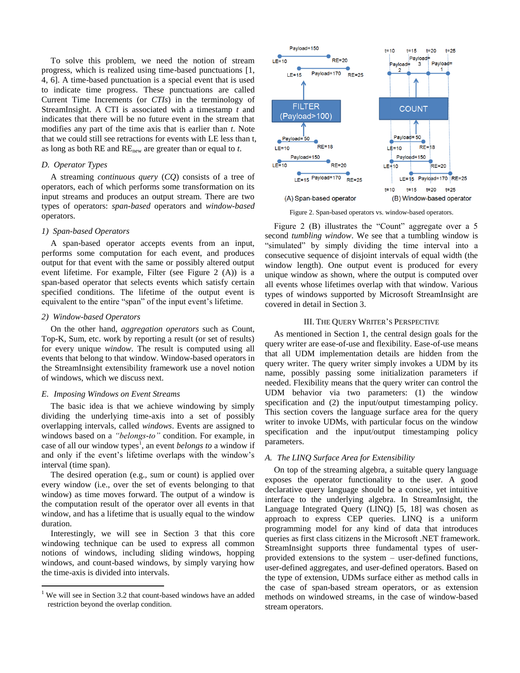To solve this problem, we need the notion of stream progress, which is realized using time-based punctuations [1, 4, 6]. A time-based punctuation is a special event that is used to indicate time progress. These punctuations are called Current Time Increments (or *CTIs*) in the terminology of StreamInsight. A CTI is associated with a timestamp *t* and indicates that there will be no future event in the stream that modifies any part of the time axis that is earlier than *t*. Note that we could still see retractions for events with LE less than t, as long as both RE and REnew are greater than or equal to *t*.

#### *D. Operator Types*

A streaming *continuous query* (*CQ*) consists of a tree of operators, each of which performs some transformation on its input streams and produces an output stream. There are two types of operators: *span-based* operators and *window-based* operators.

# *1) Span-based Operators*

A span-based operator accepts events from an input, performs some computation for each event, and produces output for that event with the same or possibly altered output event lifetime. For example, Filter (see Figure 2 (A)) is a span-based operator that selects events which satisfy certain specified conditions. The lifetime of the output event is equivalent to the entire "span" of the input event's lifetime.

# *2) Window-based Operators*

 $\overline{a}$ 

On the other hand, *aggregation operators* such as Count, Top-K, Sum, etc. work by reporting a result (or set of results) for every unique *window*. The result is computed using all events that belong to that window. Window-based operators in the StreamInsight extensibility framework use a novel notion of windows, which we discuss next.

#### *E. Imposing Windows on Event Streams*

The basic idea is that we achieve windowing by simply dividing the underlying time-axis into a set of possibly overlapping intervals, called *windows*. Events are assigned to windows based on a *"belongs-to"* condition. For example, in case of all our window types<sup>1</sup>, an event *belongs to* a window if and only if the event's lifetime overlaps with the window's interval (time span).

The desired operation (e.g., sum or count) is applied over every window (i.e., over the set of events belonging to that window) as time moves forward. The output of a window is the computation result of the operator over all events in that window, and has a lifetime that is usually equal to the window duration.

Interestingly, we will see in Section 3 that this core windowing technique can be used to express all common notions of windows, including sliding windows, hopping windows, and count-based windows, by simply varying how the time-axis is divided into intervals.



Figure 2. Span-based operators vs. window-based operators.

Figure 2 (B) illustrates the "Count" aggregate over a 5 second *tumbling window*. We see that a tumbling window is "simulated" by simply dividing the time interval into a consecutive sequence of disjoint intervals of equal width (the window length). One output event is produced for every unique window as shown, where the output is computed over all events whose lifetimes overlap with that window. Various types of windows supported by Microsoft StreamInsight are covered in detail in Section 3.

# III. THE QUERY WRITER'S PERSPECTIVE

As mentioned in Section 1, the central design goals for the query writer are ease-of-use and flexibility. Ease-of-use means that all UDM implementation details are hidden from the query writer. The query writer simply invokes a UDM by its name, possibly passing some initialization parameters if needed. Flexibility means that the query writer can control the UDM behavior via two parameters: (1) the window specification and (2) the input/output timestamping policy. This section covers the language surface area for the query writer to invoke UDMs, with particular focus on the window specification and the input/output timestamping policy parameters.

#### *A. The LINQ Surface Area for Extensibility*

On top of the streaming algebra, a suitable query language exposes the operator functionality to the user. A good declarative query language should be a concise, yet intuitive interface to the underlying algebra. In StreamInsight, the Language Integrated Query (LINQ) [5, 18] was chosen as approach to express CEP queries. LINQ is a uniform programming model for any kind of data that introduces queries as first class citizens in the Microsoft .NET framework. StreamInsight supports three fundamental types of userprovided extensions to the system – user-defined functions, user-defined aggregates, and user-defined operators. Based on the type of extension, UDMs surface either as method calls in the case of span-based stream operators, or as extension methods on windowed streams, in the case of window-based stream operators.

<sup>&</sup>lt;sup>1</sup> We will see in Section 3.2 that count-based windows have an added restriction beyond the overlap condition.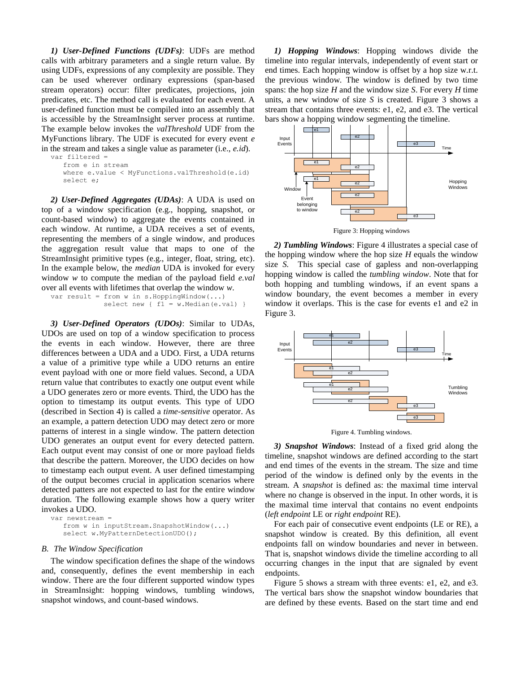*1) User-Defined Functions (UDFs)*: UDFs are method calls with arbitrary parameters and a single return value. By using UDFs, expressions of any complexity are possible. They can be used wherever ordinary expressions (span-based stream operators) occur: filter predicates, projections, join predicates, etc. The method call is evaluated for each event. A user-defined function must be compiled into an assembly that is accessible by the StreamInsight server process at runtime. The example below invokes the *valThreshold* UDF from the MyFunctions library. The UDF is executed for every event *e* in the stream and takes a single value as parameter (i.e., *e.id*).

```
var filtered = 
    from e in stream
    where e.value < MyFunctions.valThreshold(e.id)
    select e;
```
*2) User-Defined Aggregates (UDAs)*: A UDA is used on top of a window specification (e.g., hopping, snapshot, or count-based window) to aggregate the events contained in each window. At runtime, a UDA receives a set of events, representing the members of a single window, and produces the aggregation result value that maps to one of the StreamInsight primitive types (e.g., integer, float, string, etc). In the example below, the *median* UDA is invoked for every window *w* to compute the median of the payload field *e.val* over all events with lifetimes that overlap the window *w*.

var result = from w in s. HoppingWindow(...) select new {  $f1 = w.Median(e.val)$  }

*3) User-Defined Operators (UDOs)*: Similar to UDAs, UDOs are used on top of a window specification to process the events in each window. However, there are three differences between a UDA and a UDO. First, a UDA returns a value of a primitive type while a UDO returns an entire event payload with one or more field values. Second, a UDA return value that contributes to exactly one output event while a UDO generates zero or more events. Third, the UDO has the option to timestamp its output events. This type of UDO (described in Section 4) is called a *time-sensitive* operator. As an example, a pattern detection UDO may detect zero or more patterns of interest in a single window. The pattern detection UDO generates an output event for every detected pattern. Each output event may consist of one or more payload fields that describe the pattern. Moreover, the UDO decides on how to timestamp each output event. A user defined timestamping of the output becomes crucial in application scenarios where detected patters are not expected to last for the entire window duration. The following example shows how a query writer invokes a UDO.

```
var newstream =
    from w in inputStream.SnapshotWindow(...)
   select w.MyPatternDetectionUDO();
```
#### *B. The Window Specification*

The window specification defines the shape of the windows and, consequently, defines the event membership in each window. There are the four different supported window types in StreamInsight: hopping windows, tumbling windows, snapshot windows, and count-based windows.

*1) Hopping Windows*: Hopping windows divide the timeline into regular intervals, independently of event start or end times. Each hopping window is offset by a hop size w.r.t. the previous window. The window is defined by two time spans: the hop size *H* and the window size *S*. For every *H* time units, a new window of size *S* is created. Figure 3 shows a stream that contains three events: e1, e2, and e3. The vertical bars show a hopping window segmenting the timeline.



Figure 3: Hopping windows

*2) Tumbling Windows*: Figure 4 illustrates a special case of the hopping window where the hop size *H* equals the window size *S.* This special case of gapless and non-overlapping hopping window is called the *tumbling window*. Note that for both hopping and tumbling windows, if an event spans a window boundary, the event becomes a member in every window it overlaps. This is the case for events e1 and e2 in Figure 3.



Figure 4. Tumbling windows.

*3) Snapshot Windows*: Instead of a fixed grid along the timeline, snapshot windows are defined according to the start and end times of the events in the stream. The size and time period of the window is defined only by the events in the stream. A *snapshot* is defined as: the maximal time interval where no change is observed in the input. In other words, it is the maximal time interval that contains no event endpoints (*left endpoint* LE or *right endpoint* RE).

For each pair of consecutive event endpoints (LE or RE), a snapshot window is created. By this definition, all event endpoints fall on window boundaries and never in between. That is, snapshot windows divide the timeline according to all occurring changes in the input that are signaled by event endpoints.

Figure 5 shows a stream with three events: e1, e2, and e3. The vertical bars show the snapshot window boundaries that are defined by these events. Based on the start time and end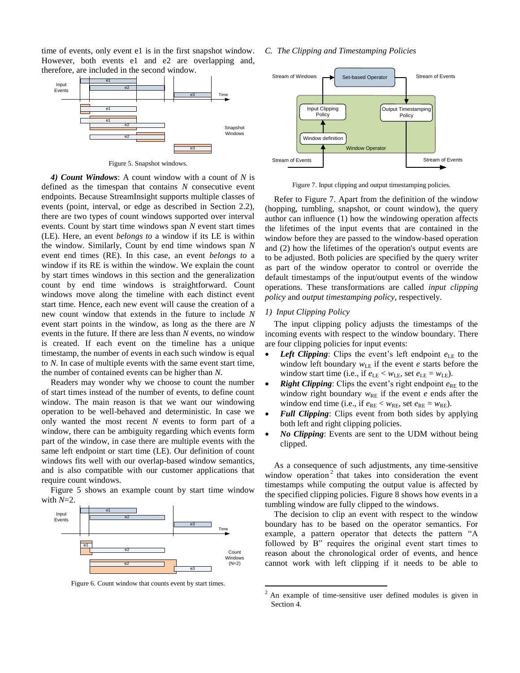time of events, only event e1 is in the first snapshot window. However, both events e1 and e2 are overlapping and, therefore, are included in the second window.



Figure 5. Snapshot windows.

*4) Count Windows*: A count window with a count of *N* is defined as the timespan that contains *N* consecutive event endpoints. Because StreamInsight supports multiple classes of events (point, interval, or edge as described in Section 2.2), there are two types of count windows supported over interval events. Count by start time windows span *N* event start times (LE). Here, an event *belongs to* a window if its LE is within the window. Similarly, Count by end time windows span *N* event end times (RE). In this case, an event *belongs to* a window if its RE is within the window. We explain the count by start times windows in this section and the generalization count by end time windows is straightforward. Count windows move along the timeline with each distinct event start time. Hence, each new event will cause the creation of a new count window that extends in the future to include *N* event start points in the window, as long as the there are *N* events in the future. If there are less than *N* events, no window is created. If each event on the timeline has a unique timestamp, the number of events in each such window is equal to *N*. In case of multiple events with the same event start time, the number of contained events can be higher than *N*.

Readers may wonder why we choose to count the number of start times instead of the number of events, to define count window. The main reason is that we want our windowing operation to be well-behaved and deterministic. In case we only wanted the most recent *N* events to form part of a window, there can be ambiguity regarding which events form part of the window, in case there are multiple events with the same left endpoint or start time (LE). Our definition of count windows fits well with our overlap-based window semantics, and is also compatible with our customer applications that require count windows.

Figure 5 shows an example count by start time window with *N*=2.



Figure 6. Count window that counts event by start times.

#### *C. The Clipping and Timestamping Policies*



Figure 7. Input clipping and output timestamping policies.

Refer to Figure 7. Apart from the definition of the window (hopping, tumbling, snapshot, or count window), the query author can influence (1) how the windowing operation affects the lifetimes of the input events that are contained in the window before they are passed to the window-based operation and (2) how the lifetimes of the operation's output events are to be adjusted. Both policies are specified by the query writer as part of the window operator to control or override the default timestamps of the input/output events of the window operations. These transformations are called *input clipping policy* and *output timestamping policy,* respectively.

## *1) Input Clipping Policy*

 $\overline{a}$ 

The input clipping policy adjusts the timestamps of the incoming events with respect to the window boundary. There are four clipping policies for input events:

- Left Clipping: Clips the event's left endpoint  $e_{\text{LE}}$  to the window left boundary  $w_{LE}$  if the event  $e$  starts before the window start time (i.e., if  $e_{\text{LE}} < w_{\text{LE}}$ , set  $e_{\text{LE}} = w_{\text{LE}}$ ).
- **Right Clipping**: Clips the event's right endpoint  $e_{RE}$  to the window right boundary  $w_{RE}$  if the event *e* ends after the window end time (i.e., if  $e_{RE} < w_{RE}$ , set  $e_{RE} = w_{RE}$ ).
- *Full Clipping*: Clips event from both sides by applying both left and right clipping policies.
- *No Clipping*: Events are sent to the UDM without being clipped.

As a consequence of such adjustments, any time-sensitive window operation<sup>2</sup> that takes into consideration the event timestamps while computing the output value is affected by the specified clipping policies. Figure 8 shows how events in a tumbling window are fully clipped to the windows.

The decision to clip an event with respect to the window boundary has to be based on the operator semantics. For example, a pattern operator that detects the pattern "A followed by B" requires the original event start times to reason about the chronological order of events, and hence cannot work with left clipping if it needs to be able to

 $2$  An example of time-sensitive user defined modules is given in Section 4.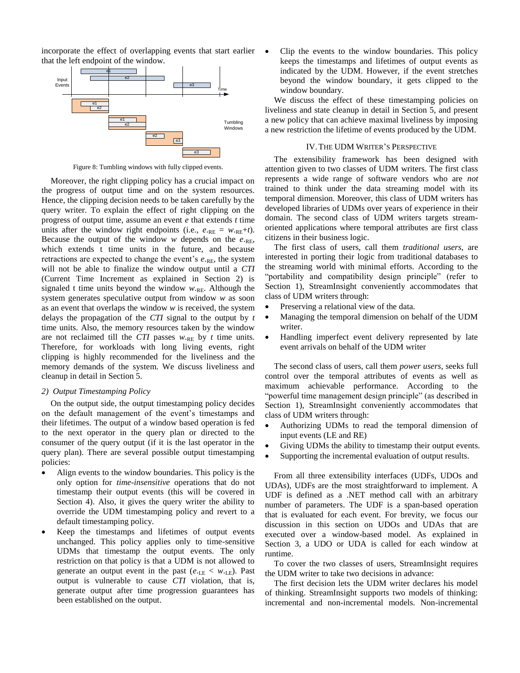incorporate the effect of overlapping events that start earlier that the left endpoint of the window.



Figure 8: Tumbling windows with fully clipped events.

Moreover, the right clipping policy has a crucial impact on the progress of output time and on the system resources. Hence, the clipping decision needs to be taken carefully by the query writer. To explain the effect of right clipping on the progress of output time, assume an event *e* that extends *t* time units after the window right endpoints (i.e.,  $e_{\text{RF}} = w_{\text{RF}} + t$ ). Because the output of the window *w* depends on the  $e_{R,E}$ , which extends t time units in the future, and because retractions are expected to change the event's  $e_{\text{RF}}$ , the system will not be able to finalize the window output until a *CTI* (Current Time Increment as explained in Section 2) is signaled t time units beyond the window  $w_{\text{RE}}$ . Although the system generates speculative output from window *w* as soon as an event that overlaps the window *w* is received, the system delays the propagation of the *CTI* signal to the output by *t* time units. Also, the memory resources taken by the window are not reclaimed till the *CTI* passes  $w_{RE}$  by  $t$  time units. Therefore, for workloads with long living events, right clipping is highly recommended for the liveliness and the memory demands of the system. We discuss liveliness and cleanup in detail in Section 5.

## *2) Output Timestamping Policy*

On the output side, the output timestamping policy decides on the default management of the event's timestamps and their lifetimes. The output of a window based operation is fed to the next operator in the query plan or directed to the consumer of the query output (if it is the last operator in the query plan). There are several possible output timestamping policies:

- Align events to the window boundaries. This policy is the only option for *time-insensitive* operations that do not timestamp their output events (this will be covered in Section 4). Also, it gives the query writer the ability to override the UDM timestamping policy and revert to a default timestamping policy.
- Keep the timestamps and lifetimes of output events unchanged. This policy applies only to time-sensitive UDMs that timestamp the output events. The only restriction on that policy is that a UDM is not allowed to generate an output event in the past ( $e<sub>LE</sub> < w<sub>LE</sub>$ ). Past output is vulnerable to cause *CTI* violation, that is, generate output after time progression guarantees has been established on the output.

 Clip the events to the window boundaries. This policy keeps the timestamps and lifetimes of output events as indicated by the UDM. However, if the event stretches beyond the window boundary, it gets clipped to the window boundary.

We discuss the effect of these timestamping policies on liveliness and state cleanup in detail in Section 5, and present a new policy that can achieve maximal liveliness by imposing a new restriction the lifetime of events produced by the UDM.

#### IV.THE UDM WRITER'S PERSPECTIVE

The extensibility framework has been designed with attention given to two classes of UDM writers. The first class represents a wide range of software vendors who are *not* trained to think under the data streaming model with its temporal dimension. Moreover, this class of UDM writers has developed libraries of UDMs over years of experience in their domain. The second class of UDM writers targets streamoriented applications where temporal attributes are first class citizens in their business logic.

The first class of users, call them *traditional users*, are interested in porting their logic from traditional databases to the streaming world with minimal efforts. According to the "portability and compatibility design principle" (refer to Section 1), StreamInsight conveniently accommodates that class of UDM writers through:

- Preserving a relational view of the data.
- Managing the temporal dimension on behalf of the UDM writer.
- Handling imperfect event delivery represented by late event arrivals on behalf of the UDM writer

The second class of users, call them *power users*, seeks full control over the temporal attributes of events as well as maximum achievable performance. According to the "powerful time management design principle" (as described in Section 1), StreamInsight conveniently accommodates that class of UDM writers through:

- Authorizing UDMs to read the temporal dimension of input events (LE and RE)
- Giving UDMs the ability to timestamp their output events.
- Supporting the incremental evaluation of output results.

From all three extensibility interfaces (UDFs, UDOs and UDAs), UDFs are the most straightforward to implement. A UDF is defined as a .NET method call with an arbitrary number of parameters. The UDF is a span-based operation that is evaluated for each event. For brevity, we focus our discussion in this section on UDOs and UDAs that are executed over a window-based model. As explained in Section 3, a UDO or UDA is called for each window at runtime.

To cover the two classes of users, StreamInsight requires the UDM writer to take two decisions in advance:

The first decision lets the UDM writer declares his model of thinking. StreamInsight supports two models of thinking: incremental and non-incremental models. Non-incremental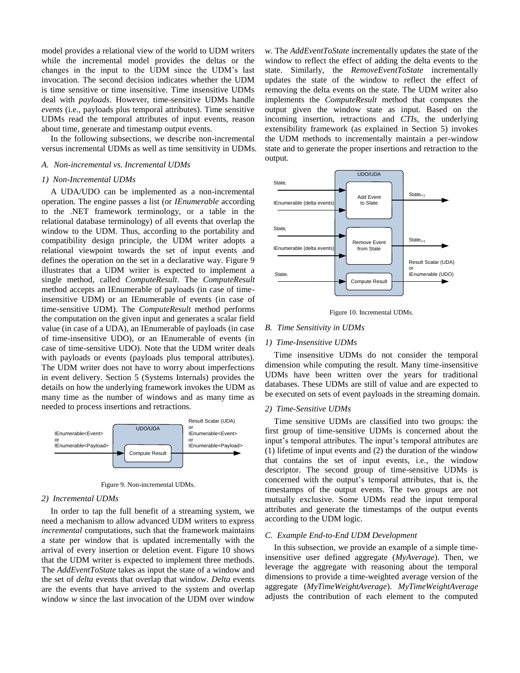model provides a relational view of the world to UDM writers while the incremental model provides the deltas or the changes in the input to the UDM since the UDM's last invocation. The second decision indicates whether the UDM is time sensitive or time insensitive. Time insensitive UDMs deal with *payloads*. However, time-sensitive UDMs handle *events* (i.e., payloads plus temporal attributes). Time sensitive UDMs read the temporal attributes of input events, reason about time, generate and timestamp output events.

In the following subsections, we describe non-incremental versus incremental UDMs as well as time sensitivity in UDMs.

#### *A. Non-incremental vs. Incremental UDMs*

## *1) Non-Incremental UDMs*

A UDA/UDO can be implemented as a non-incremental operation. The engine passes a list (or *IEnumerable* according to the .NET framework terminology, or a table in the relational database terminology) of all events that overlap the window to the UDM. Thus, according to the portability and compatibility design principle, the UDM writer adopts a relational viewpoint towards the set of input events and defines the operation on the set in a declarative way. Figure 9 illustrates that a UDM writer is expected to implement a single method, called *ComputeResult*. The *ComputeResult* method accepts an IEnumerable of payloads (in case of timeinsensitive UDM) or an IEnumerable of events (in case of time-sensitive UDM). The *ComputeResult* method performs the computation on the given input and generates a scalar field value (in case of a UDA), an IEnumerable of payloads (in case of time-insensitive UDO), or an IEnumerable of events (in case of time-sensitive UDO). Note that the UDM writer deals with payloads or events (payloads plus temporal attributes). The UDM writer does not have to worry about imperfections in event delivery. Section 5 (Systems Internals) provides the details on how the underlying framework invokes the UDM as many time as the number of windows and as many time as needed to process insertions and retractions.



Figure 9. Non-incremental UDMs.

# *2) Incremental UDMs*

In order to tap the full benefit of a streaming system, we need a mechanism to allow advanced UDM writers to express *incremental* computations, such that the framework maintains a state per window that is updated incrementally with the arrival of every insertion or deletion event. Figure 10 shows that the UDM writer is expected to implement three methods. The *AddEventToState* takes as input the state of a window and the set of *delta* events that overlap that window. *Delta* events are the events that have arrived to the system and overlap window *w* since the last invocation of the UDM over window *w*. The *AddEventToState* incrementally updates the state of the window to reflect the effect of adding the delta events to the state. Similarly, the *RemoveEventToState* incrementally updates the state of the window to reflect the effect of removing the delta events on the state. The UDM writer also implements the *ComputeResult* method that computes the output given the window state as input. Based on the incoming insertion, retractions and *CTIs*, the underlying extensibility framework (as explained in Section 5) invokes the UDM methods to incrementally maintain a per-window state and to generate the proper insertions and retraction to the output.



Figure 10. Incremental UDMs.

#### *B. Time Sensitivity in UDMs*

#### *1) Time-Insensitive UDMs*

Time insensitive UDMs do not consider the temporal dimension while computing the result. Many time-insensitive UDMs have been written over the years for traditional databases. These UDMs are still of value and are expected to be executed on sets of event payloads in the streaming domain.

# *2) Time-Sensitive UDMs*

Time sensitive UDMs are classified into two groups: the first group of time-sensitive UDMs is concerned about the input's temporal attributes. The input's temporal attributes are (1) lifetime of input events and (2) the duration of the window that contains the set of input events, i.e., the window descriptor. The second group of time-sensitive UDMs is concerned with the output's temporal attributes, that is, the timestamps of the output events. The two groups are not mutually exclusive. Some UDMs read the input temporal attributes and generate the timestamps of the output events according to the UDM logic.

#### *C. Example End-to-End UDM Development*

In this subsection, we provide an example of a simple timeinsensitive user defined aggregate (*MyAverage*). Then, we leverage the aggregate with reasoning about the temporal dimensions to provide a time-weighted average version of the aggregate (*MyTimeWeightAverage*). *MyTimeWeightAverage* adjusts the contribution of each element to the computed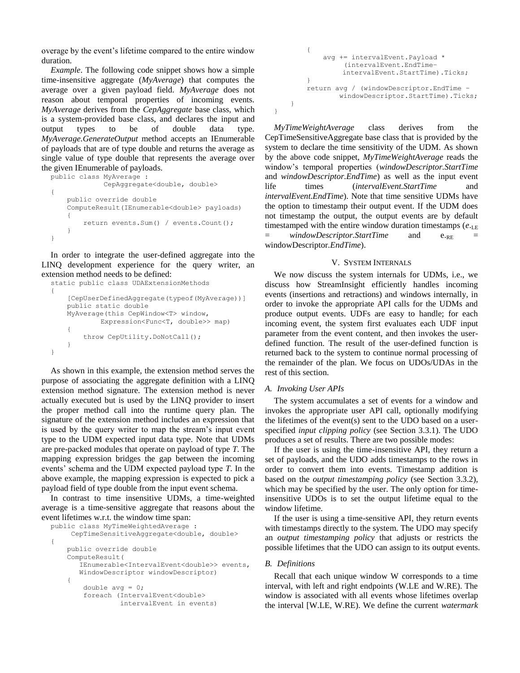overage by the event's lifetime compared to the entire window duration.

*Example*. The following code snippet shows how a simple time-insensitive aggregate (*MyAverage*) that computes the average over a given payload field. *MyAverage* does not reason about temporal properties of incoming events. *MyAverage* derives from the *CepAggregate* base class, which is a system-provided base class, and declares the input and output types to be of double data type. *MyAverage.GenerateOutput* method accepts an IEnumerable of payloads that are of type double and returns the average as single value of type double that represents the average over the given IEnumerable of payloads.

```
public class MyAverage : 
              CepAggregate<double, double>
{
     public override double
     ComputeResult(IEnumerable<double> payloads)
     {
         return events.Sum() / events.Count();
     }
}
```
In order to integrate the user-defined aggregate into the LINQ development experience for the query writer, an extension method needs to be defined:

```
static public class UDAExtensionMethods
{
     [CepUserDefinedAggregate(typeof(MyAverage))]
     public static double
     MyAverage(this CepWindow<T> window,
             Expression<Func<T, double>> map)
\{\} throw CepUtility.DoNotCall();
     }
}
```
As shown in this example, the extension method serves the purpose of associating the aggregate definition with a LINQ extension method signature. The extension method is never actually executed but is used by the LINQ provider to insert the proper method call into the runtime query plan. The signature of the extension method includes an expression that is used by the query writer to map the stream's input event type to the UDM expected input data type. Note that UDMs are pre-packed modules that operate on payload of type *T*. The mapping expression bridges the gap between the incoming events' schema and the UDM expected payload type *T*. In the above example, the mapping expression is expected to pick a payload field of type double from the input event schema.

In contrast to time insensitive UDMs, a time-weighted average is a time-sensitive aggregate that reasons about the event lifetimes w.r.t. the window time span:

```
public class MyTimeWeightedAverage : 
      CepTimeSensitiveAggregate<double, double>
{
     public override double 
    ComputeResult(
        IEnumerable<IntervalEvent<double>> events, 
        WindowDescriptor windowDescriptor)
     {
        double avg = 0; foreach (IntervalEvent<double>
                   intervalEvent in events)
```

```
 {
             avg += intervalEvent.Payload * 
                  (intervalEvent.EndTime– 
                  intervalEvent.StartTime).Ticks;
 }
         return avg / (windowDescriptor.EndTime –
                 windowDescriptor.StartTime).Ticks;
    }
```
*MyTimeWeightAverage* class derives from the CepTimeSensitiveAggregate base class that is provided by the system to declare the time sensitivity of the UDM. As shown by the above code snippet, *MyTimeWeightAverage* reads the window's temporal properties (*windowDescriptor.StartTime* and *windowDescriptor.EndTime*) as well as the input event life times (*intervalEvent.StartTime* and *intervalEvent.EndTime*). Note that time sensitive UDMs have the option to timestamp their output event. If the UDM does not timestamp the output, the output events are by default timestamped with the entire window duration timestamps  $(e_{\text{LE}})$ = *windowDescriptor.StartTime* and e.<sub>RE</sub> = windowDescriptor*.EndTime*).

## V. SYSTEM INTERNALS

We now discuss the system internals for UDMs, i.e., we discuss how StreamInsight efficiently handles incoming events (insertions and retractions) and windows internally, in order to invoke the appropriate API calls for the UDMs and produce output events. UDFs are easy to handle; for each incoming event, the system first evaluates each UDF input parameter from the event content, and then invokes the userdefined function. The result of the user-defined function is returned back to the system to continue normal processing of the remainder of the plan. We focus on UDOs/UDAs in the rest of this section.

## *A. Invoking User APIs*

}

The system accumulates a set of events for a window and invokes the appropriate user API call, optionally modifying the lifetimes of the event(s) sent to the UDO based on a userspecified *input clipping policy* (see Section 3.3.1). The UDO produces a set of results. There are two possible modes:

If the user is using the time-insensitive API, they return a set of payloads, and the UDO adds timestamps to the rows in order to convert them into events. Timestamp addition is based on the *output timestamping policy* (see Section 3.3.2), which may be specified by the user. The only option for timeinsensitive UDOs is to set the output lifetime equal to the window lifetime.

If the user is using a time-sensitive API, they return events with timestamps directly to the system. The UDO may specify an *output timestamping policy* that adjusts or restricts the possible lifetimes that the UDO can assign to its output events.

#### *B. Definitions*

Recall that each unique window W corresponds to a time interval, with left and right endpoints (W.LE and W.RE). The window is associated with all events whose lifetimes overlap the interval [W.LE, W.RE). We define the current *watermark*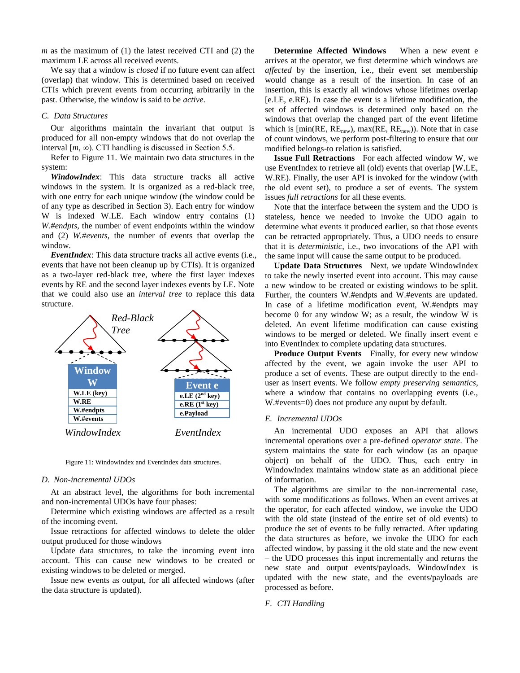*m* as the maximum of (1) the latest received CTI and (2) the maximum LE across all received events.

We say that a window is *closed* if no future event can affect (overlap) that window. This is determined based on received CTIs which prevent events from occurring arbitrarily in the past. Otherwise, the window is said to be *active*.

## *C. Data Structures*

Our algorithms maintain the invariant that output is produced for all non-empty windows that do not overlap the interval  $[m, \infty)$ . CTI handling is discussed in Section 5.5.

Refer to Figure 11. We maintain two data structures in the system:

*WindowIndex*: This data structure tracks all active windows in the system. It is organized as a red-black tree, with one entry for each unique window (the window could be of any type as described in Section 3). Each entry for window W is indexed W.LE. Each window entry contains (1) *W.#endpts*, the number of event endpoints within the window and (2) *W.#events*, the number of events that overlap the window.

*EventIndex*: This data structure tracks all active events (i.e., events that have not been cleanup up by CTIs). It is organized as a two-layer red-black tree, where the first layer indexes events by RE and the second layer indexes events by LE. Note that we could also use an *interval tree* to replace this data structure.



Figure 11: WindowIndex and EventIndex data structures.

#### *D. Non-incremental UDOs*

At an abstract level, the algorithms for both incremental and non-incremental UDOs have four phases:

Determine which existing windows are affected as a result of the incoming event.

Issue retractions for affected windows to delete the older output produced for those windows

Update data structures, to take the incoming event into account. This can cause new windows to be created or existing windows to be deleted or merged.

Issue new events as output, for all affected windows (after the data structure is updated).

**Determine Affected Windows** When a new event e arrives at the operator, we first determine which windows are *affected* by the insertion, i.e., their event set membership would change as a result of the insertion. In case of an insertion, this is exactly all windows whose lifetimes overlap [e.LE, e.RE). In case the event is a lifetime modification, the set of affected windows is determined only based on the windows that overlap the changed part of the event lifetime which is  $[\text{min}(RE, RE_{new}), \text{max}(RE, RE_{new})$ ). Note that in case of count windows, we perform post-filtering to ensure that our modified belongs-to relation is satisfied.

**Issue Full Retractions** For each affected window W, we use EventIndex to retrieve all (old) events that overlap [W.LE, W.RE). Finally, the user API is invoked for the window (with the old event set), to produce a set of events. The system issues *full retractions* for all these events.

Note that the interface between the system and the UDO is stateless, hence we needed to invoke the UDO again to determine what events it produced earlier, so that those events can be retracted appropriately. Thus, a UDO needs to ensure that it is *deterministic*, i.e., two invocations of the API with the same input will cause the same output to be produced.

**Update Data Structures** Next, we update WindowIndex to take the newly inserted event into account. This may cause a new window to be created or existing windows to be split. Further, the counters W.#endpts and W.#events are updated. In case of a lifetime modification event, W.#endpts may become 0 for any window W; as a result, the window W is deleted. An event lifetime modification can cause existing windows to be merged or deleted. We finally insert event e into EventIndex to complete updating data structures.

**Produce Output Events** Finally, for every new window affected by the event, we again invoke the user API to produce a set of events. These are output directly to the enduser as insert events. We follow *empty preserving semantics*, where a window that contains no overlapping events (i.e., W.#events=0) does not produce any ouput by default.

#### *E. Incremental UDOs*

An incremental UDO exposes an API that allows incremental operations over a pre-defined *operator state*. The system maintains the state for each window (as an opaque object) on behalf of the UDO. Thus, each entry in WindowIndex maintains window state as an additional piece of information.

The algorithms are similar to the non-incremental case, with some modifications as follows. When an event arrives at the operator, for each affected window, we invoke the UDO with the old state (instead of the entire set of old events) to produce the set of events to be fully retracted. After updating the data structures as before, we invoke the UDO for each affected window, by passing it the old state and the new event – the UDO processes this input incrementally and returns the new state and output events/payloads. WindowIndex is updated with the new state, and the events/payloads are processed as before.

*F. CTI Handling*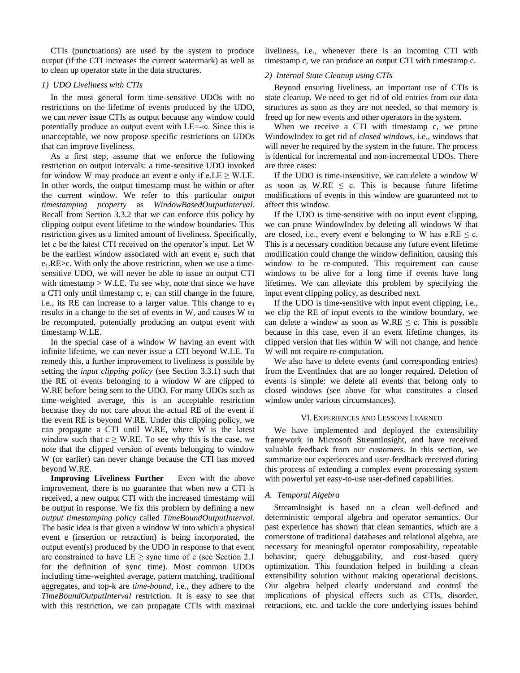CTIs (punctuations) are used by the system to produce output (if the CTI increases the current watermark) as well as to clean up operator state in the data structures.

## *1) UDO Liveliness with CTIs*

In the most general form time-sensitive UDOs with no restrictions on the lifetime of events produced by the UDO, we can *never* issue CTIs as output because any window could potentially produce an output event with LE=∞. Since this is unacceptable, we now propose specific restrictions on UDOs that can improve liveliness.

As a first step, assume that we enforce the following restriction on output intervals: a time-sensitive UDO invoked for window W may produce an event e only if  $e$ .LE  $\geq$  W.LE. In other words, the output timestamp must be within or after the current window. We refer to this particular *output timestamping property* as *WindowBasedOutputInterval*. Recall from Section 3.3.2 that we can enforce this policy by clipping output event lifetime to the window boundaries. This restriction gives us a limited amount of liveliness. Specifically, let c be the latest CTI received on the operator's input. Let W be the earliest window associated with an event  $e_1$  such that  $e_1$ .RE $\gtrsim$ . With only the above restriction, when we use a timesensitive UDO, we will never be able to issue an output CTI with timestamp  $>$  W.LE. To see why, note that since we have a CTI only until timestamp c,  $e_1$  can still change in the future, i.e., its RE can increase to a larger value. This change to  $e_1$ results in a change to the set of events in W, and causes W to be recomputed, potentially producing an output event with timestamp W.LE.

In the special case of a window W having an event with infinite lifetime, we can never issue a CTI beyond W.LE. To remedy this, a further improvement to liveliness is possible by setting the *input clipping policy* (see Section 3.3.1) such that the RE of events belonging to a window W are clipped to W.RE before being sent to the UDO. For many UDOs such as time-weighted average, this is an acceptable restriction because they do not care about the actual RE of the event if the event RE is beyond W.RE. Under this clipping policy, we can propagate a CTI until W.RE, where W is the latest window such that  $c \geq W.RE$ . To see why this is the case, we note that the clipped version of events belonging to window W (or earlier) can never change because the CTI has moved beyond W.RE.

**Improving Liveliness Further** Even with the above improvement, there is no guarantee that when new a CTI is received, a new output CTI with the increased timestamp will be output in response. We fix this problem by defining a new *output timestamping policy* called *TimeBoundOutputInterval*. The basic idea is that given a window W into which a physical event e (insertion or retraction) is being incorporated, the output event(s) produced by the UDO in response to that event are constrained to have  $LE \geq$  sync time of e (see Section 2.1) for the definition of sync time). Most common UDOs including time-weighted average, pattern matching, traditional aggregates, and top-k are *time-bound*, i.e., they adhere to the *TimeBoundOutputInterval* restriction. It is easy to see that with this restriction, we can propagate CTIs with maximal liveliness, i.e., whenever there is an incoming CTI with timestamp c, we can produce an output CTI with timestamp c.

# *2) Internal State Cleanup using CTIs*

Beyond ensuring liveliness, an important use of CTIs is state cleanup. We need to get rid of old entries from our data structures as soon as they are not needed, so that memory is freed up for new events and other operators in the system.

When we receive a CTI with timestamp c, we prune WindowIndex to get rid of *closed windows*, i.e., windows that will never be required by the system in the future. The process is identical for incremental and non-incremental UDOs. There are three cases:

If the UDO is time-insensitive, we can delete a window W as soon as W.R.E  $\leq$  c. This is because future lifetime modifications of events in this window are guaranteed not to affect this window.

If the UDO is time-sensitive with no input event clipping, we can prune WindowIndex by deleting all windows W that are closed, i.e., every event e belonging to W has  $e$ .RE  $\leq$  c. This is a necessary condition because any future event lifetime modification could change the window definition, causing this window to be re-computed. This requirement can cause windows to be alive for a long time if events have long lifetimes. We can alleviate this problem by specifying the input event clipping policy, as described next.

If the UDO is time-sensitive with input event clipping, i.e., we clip the RE of input events to the window boundary, we can delete a window as soon as W.RE  $\leq$  c. This is possible because in this case, even if an event lifetime changes, its clipped version that lies within W will not change, and hence W will not require re-computation.

We also have to delete events (and corresponding entries) from the EventIndex that are no longer required. Deletion of events is simple: we delete all events that belong only to closed windows (see above for what constitutes a closed window under various circumstances).

## VI.EXPERIENCES AND LESSONS LEARNED

We have implemented and deployed the extensibility framework in Microsoft StreamInsight, and have received valuable feedback from our customers. In this section, we summarize our experiences and user-feedback received during this process of extending a complex event processing system with powerful yet easy-to-use user-defined capabilities.

# *A. Temporal Algebra*

StreamInsight is based on a clean well-defined and deterministic temporal algebra and operator semantics. Our past experience has shown that clean semantics, which are a cornerstone of traditional databases and relational algebra, are necessary for meaningful operator composability, repeatable behavior, query debuggability, and cost-based query optimization. This foundation helped in building a clean extensibility solution without making operational decisions. Our algebra helped clearly understand and control the implications of physical effects such as CTIs, disorder, retractions, etc. and tackle the core underlying issues behind